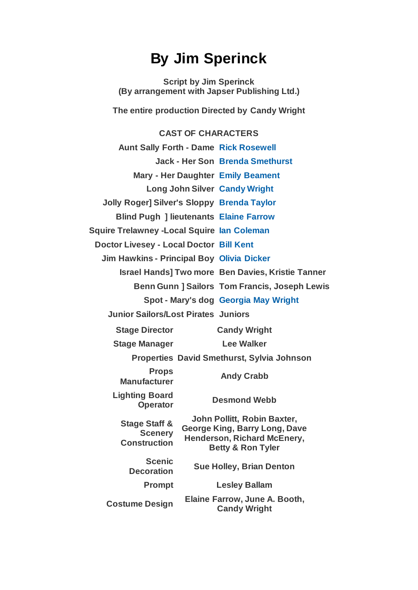## **By Jim Sperinck**

**Script by Jim Sperinck (By arrangement with Japser Publishing Ltd.)**

**The entire production Directed by Candy Wright**

## **CAST OF CHARACTERS**

| <b>Aunt Sally Forth - Dame Rick Rosewell</b>             |                                                                     |                                                      |
|----------------------------------------------------------|---------------------------------------------------------------------|------------------------------------------------------|
|                                                          |                                                                     | <b>Jack - Her Son Brenda Smethurst</b>               |
| <b>Mary - Her Daughter Emily Beament</b>                 |                                                                     |                                                      |
| <b>Long John Silver Candy Wright</b>                     |                                                                     |                                                      |
| <b>Jolly Roger] Silver's Sloppy Brenda Taylor</b>        |                                                                     |                                                      |
| <b>Blind Pugh ] lieutenants Elaine Farrow</b>            |                                                                     |                                                      |
| <b>Squire Trelawney - Local Squire lan Coleman</b>       |                                                                     |                                                      |
| Doctor Livesey - Local Doctor Bill Kent                  |                                                                     |                                                      |
| <b>Jim Hawkins - Principal Boy Olivia Dicker</b>         |                                                                     |                                                      |
| <b>Israel Hands] Two more Ben Davies, Kristie Tanner</b> |                                                                     |                                                      |
|                                                          |                                                                     | <b>Benn Gunn ] Sailors Tom Francis, Joseph Lewis</b> |
|                                                          |                                                                     | Spot - Mary's dog Georgia May Wright                 |
| <b>Junior Sailors/Lost Pirates Juniors</b>               |                                                                     |                                                      |
| <b>Stage Director</b>                                    |                                                                     | <b>Candy Wright</b>                                  |
| <b>Stage Manager</b>                                     |                                                                     | <b>Lee Walker</b>                                    |
| <b>Properties David Smethurst, Sylvia Johnson</b>        |                                                                     |                                                      |
| <b>Props</b><br><b>Manufacturer</b>                      |                                                                     | <b>Andy Crabb</b>                                    |
| <b>Lighting Board</b><br><b>Operator</b>                 | <b>Desmond Webb</b>                                                 |                                                      |
| <b>Stage Staff &amp;</b><br><b>Scenery</b>               | John Pollitt, Robin Baxter,<br><b>George King, Barry Long, Dave</b> |                                                      |
| <b>Construction</b>                                      | Henderson, Richard McEnery,<br><b>Betty &amp; Ron Tyler</b>         |                                                      |
| <b>Scenic</b><br><b>Decoration</b>                       | <b>Sue Holley, Brian Denton</b>                                     |                                                      |
| <b>Prompt</b>                                            | <b>Lesley Ballam</b>                                                |                                                      |
| <b>Costume Design</b>                                    | Elaine Farrow, June A. Booth,<br><b>Candy Wright</b>                |                                                      |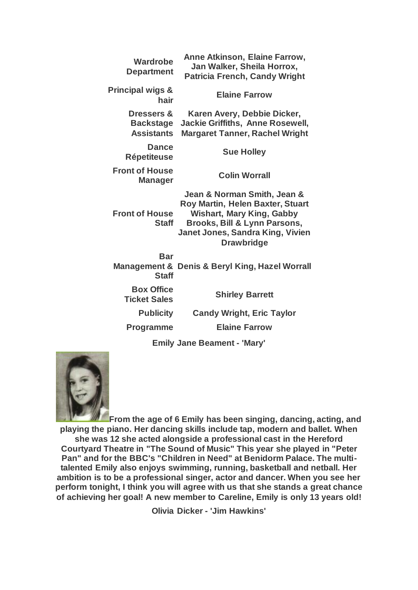| Wardrobe<br><b>Department</b>                                  | Anne Atkinson, Elaine Farrow,<br>Jan Walker, Sheila Horrox,<br><b>Patricia French, Candy Wright</b>                                                                                          |
|----------------------------------------------------------------|----------------------------------------------------------------------------------------------------------------------------------------------------------------------------------------------|
| <b>Principal wigs &amp;</b><br>hair                            | <b>Elaine Farrow</b>                                                                                                                                                                         |
| <b>Dressers &amp;</b><br><b>Backstage</b><br><b>Assistants</b> | Karen Avery, Debbie Dicker,<br><b>Jackie Griffiths, Anne Rosewell,</b><br><b>Margaret Tanner, Rachel Wright</b>                                                                              |
| <b>Dance</b><br><b>Répetiteuse</b>                             | <b>Sue Holley</b>                                                                                                                                                                            |
| <b>Front of House</b><br><b>Manager</b>                        | <b>Colin Worrall</b>                                                                                                                                                                         |
| <b>Front of House</b><br><b>Staff</b>                          | Jean & Norman Smith, Jean &<br>Roy Martin, Helen Baxter, Stuart<br><b>Wishart, Mary King, Gabby</b><br>Brooks, Bill & Lynn Parsons,<br>Janet Jones, Sandra King, Vivien<br><b>Drawbridge</b> |
| <b>Bar</b><br>Management &<br><b>Staff</b>                     | <b>Denis &amp; Beryl King, Hazel Worrall</b>                                                                                                                                                 |
| <b>Box Office</b><br><b>Ticket Sales</b>                       | <b>Shirley Barrett</b>                                                                                                                                                                       |
| <b>Publicity</b>                                               | <b>Candy Wright, Eric Taylor</b>                                                                                                                                                             |
| <b>Programme</b>                                               | <b>Elaine Farrow</b>                                                                                                                                                                         |
|                                                                | Feelix Jone December IMend                                                                                                                                                                   |

**Emily Jane Beament - 'Mary'**



**From the age of 6 Emily has been singing, dancing, acting, and playing the piano. Her dancing skills include tap, modern and ballet. When she was 12 she acted alongside a professional cast in the Hereford Courtyard Theatre in "The Sound of Music" This year she played in "Peter Pan" and for the BBC's "Children in Need" at Benidorm Palace. The multitalented Emily also enjoys swimming, running, basketball and netball. Her ambition is to be a professional singer, actor and dancer. When you see her perform tonight, I think you will agree with us that she stands a great chance of achieving her goal! A new member to Careline, Emily is only 13 years old!**

**Olivia Dicker - 'Jim Hawkins'**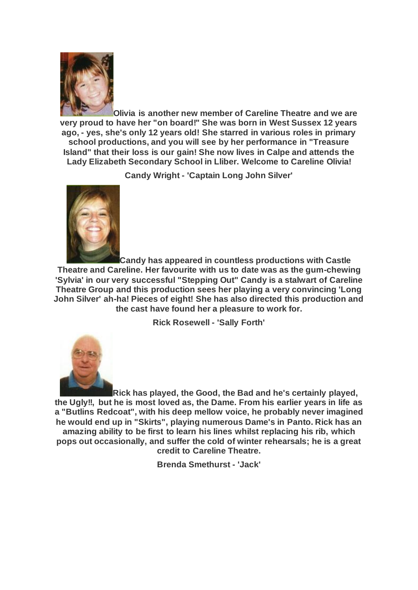

**Olivia is another new member of Careline Theatre and we are very proud to have her "on board!" She was born in West Sussex 12 years ago, - yes, she's only 12 years old! She starred in various roles in primary school productions, and you will see by her performance in "Treasure Island" that their loss is our gain! She now lives in Calpe and attends the Lady Elizabeth Secondary School in Lliber. Welcome to Careline Olivia!**

**Candy Wright - 'Captain Long John Silver'**



**Candy has appeared in countless productions with Castle Theatre and Careline. Her favourite with us to date was as the gum-chewing 'Sylvia' in our very successful "Stepping Out" Candy is a stalwart of Careline Theatre Group and this production sees her playing a very convincing 'Long John Silver' ah-ha! Pieces of eight! She has also directed this production and the cast have found her a pleasure to work for.**

**Rick Rosewell - 'Sally Forth'**



**Rick has played, the Good, the Bad and he's certainly played, the Ugly!!, but he is most loved as, the Dame. From his earlier years in life as a "Butlins Redcoat", with his deep mellow voice, he probably never imagined he would end up in "Skirts", playing numerous Dame's in Panto. Rick has an amazing ability to be first to learn his lines whilst replacing his rib, which pops out occasionally, and suffer the cold of winter rehearsals; he is a great credit to Careline Theatre.**

**Brenda Smethurst - 'Jack'**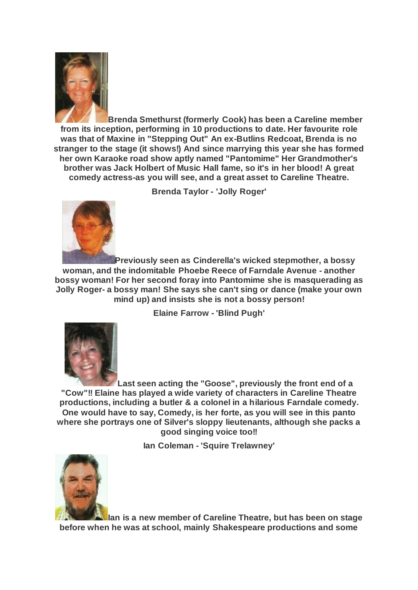

**Brenda Smethurst (formerly Cook) has been a Careline member from its inception, performing in 10 productions to date. Her favourite role was that of Maxine in "Stepping Out" An ex-Butlins Redcoat, Brenda is no stranger to the stage (it shows!) And since marrying this year she has formed her own Karaoke road show aptly named "Pantomime" Her Grandmother's brother was Jack Holbert of Music Hall fame, so it's in her blood! A great comedy actress-as you will see, and a great asset to Careline Theatre.**

**Brenda Taylor - 'Jolly Roger'**



**Previously seen as Cinderella's wicked stepmother, a bossy woman, and the indomitable Phoebe Reece of Farndale Avenue - another bossy woman! For her second foray into Pantomime she is masquerading as Jolly Roger- a bossy man! She says she can't sing or dance (make your own mind up) and insists she is not a bossy person!**

**Elaine Farrow - 'Blind Pugh'**



**Last seen acting the "Goose", previously the front end of a "Cow"!! Elaine has played a wide variety of characters in Careline Theatre productions, including a butler & a colonel in a hilarious Farndale comedy. One would have to say, Comedy, is her forte, as you will see in this panto where she portrays one of Silver's sloppy lieutenants, although she packs a good singing voice too!!**

**Ian Coleman - 'Squire Trelawney'**



**Ian is a new member of Careline Theatre, but has been on stage before when he was at school, mainly Shakespeare productions and some**